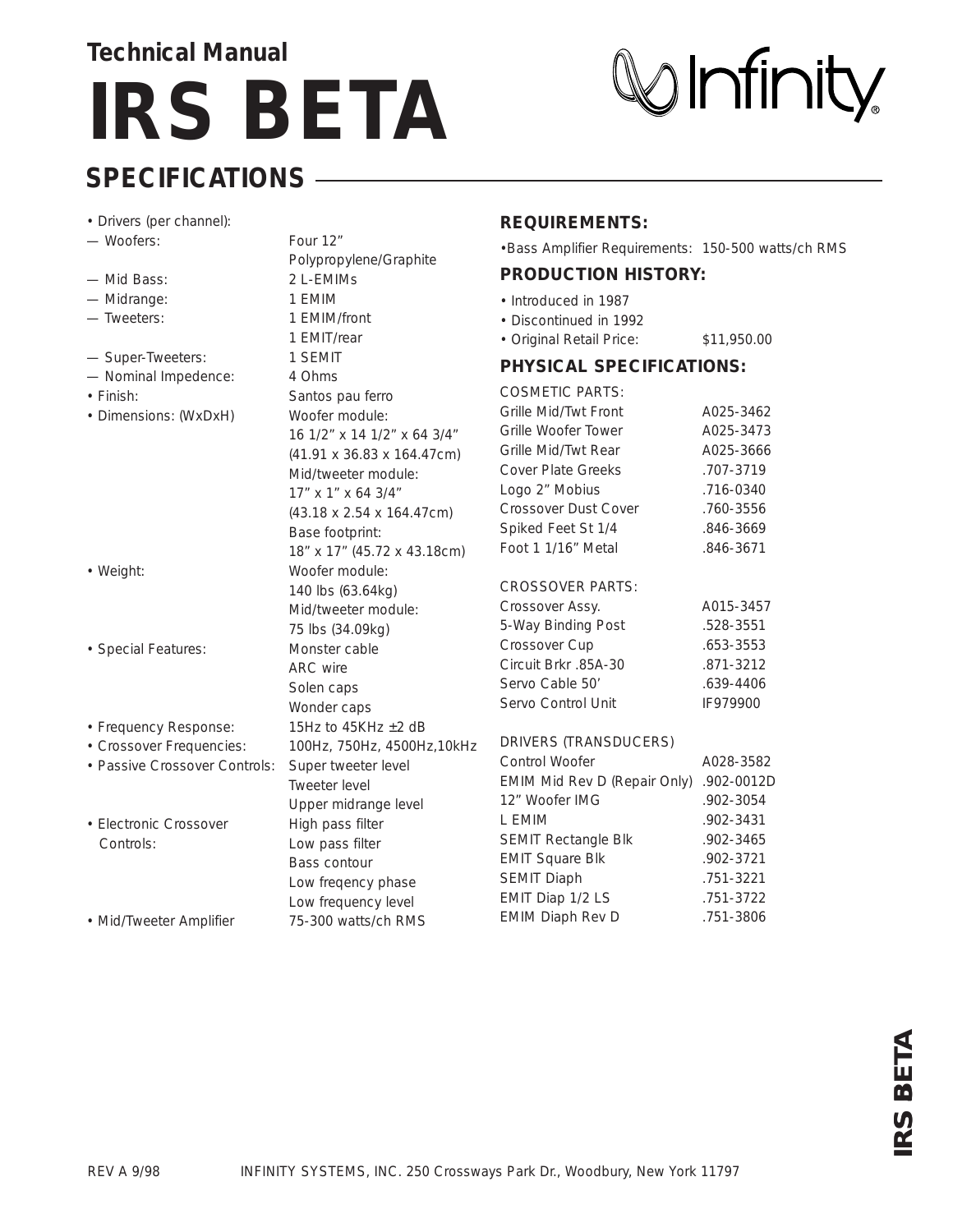## **Technical Manual IRS BETA**

# $\mathbb{W}$ Infinity

#### **SPECIFICATIONS**

| • Drivers (per channel):      |                                       | <b>REQUIREMENTS:</b>                                |             |
|-------------------------------|---------------------------------------|-----------------------------------------------------|-------------|
| - Woofers:                    | Four 12"                              | . Bass Amplifier Requirements: 150-500 watts/ch RMS |             |
|                               | Polypropylene/Graphite                |                                                     |             |
| - Mid Bass:                   | 2 L-EMIMS                             | <b>PRODUCTION HISTORY:</b>                          |             |
| - Midrange:                   | 1 EMIM                                | • Introduced in 1987                                |             |
| - Tweeters:                   | 1 EMIM/front                          | • Discontinued in 1992                              |             |
|                               | 1 EMIT/rear                           | · Original Retail Price:                            | \$11,950.00 |
| - Super-Tweeters:             | 1 SEMIT                               | <b>PHYSICAL SPECIFICATIONS:</b>                     |             |
| - Nominal Impedence:          | 4 Ohms                                |                                                     |             |
| • Finish:                     | Santos pau ferro                      | <b>COSMETIC PARTS:</b>                              |             |
| • Dimensions: (WxDxH)         | Woofer module:                        | Grille Mid/Twt Front                                | A025-3462   |
|                               | 16 1/2" x 14 1/2" x 64 3/4"           | Grille Woofer Tower                                 | A025-3473   |
|                               | (41.91 x 36.83 x 164.47cm)            | Grille Mid/Twt Rear                                 | A025-3666   |
|                               | Mid/tweeter module:                   | <b>Cover Plate Greeks</b>                           | .707-3719   |
|                               | 17" x 1" x 64 3/4"                    | Logo 2" Mobius                                      | .716-0340   |
|                               | $(43.18 \times 2.54 \times 164.47cm)$ | Crossover Dust Cover                                | .760-3556   |
|                               | Base footprint:                       | Spiked Feet St 1/4                                  | .846-3669   |
|                               | 18" x 17" (45.72 x 43.18cm)           | Foot 1 1/16" Metal                                  | .846-3671   |
| • Weight:                     | Woofer module:                        |                                                     |             |
|                               | 140 lbs (63.64kg)                     | <b>CROSSOVER PARTS:</b>                             |             |
|                               | Mid/tweeter module:                   | Crossover Assy.                                     | A015-3457   |
|                               | 75 lbs (34.09kg)                      | 5-Way Binding Post                                  | .528-3551   |
| · Special Features:           | Monster cable                         | Crossover Cup                                       | .653-3553   |
|                               | <b>ARC</b> wire                       | Circuit Brkr .85A-30                                | .871-3212   |
|                               | Solen caps                            | Servo Cable 50'                                     | .639-4406   |
|                               | Wonder caps                           | Servo Control Unit                                  | IF979900    |
| • Frequency Response:         | 15Hz to 45KHz $\pm$ 2 dB              |                                                     |             |
| • Crossover Frequencies:      | 100Hz, 750Hz, 4500Hz, 10kHz           | <b>DRIVERS (TRANSDUCERS)</b>                        |             |
| • Passive Crossover Controls: | Super tweeter level                   | Control Woofer                                      | A028-3582   |
|                               | <b>Tweeter level</b>                  | EMIM Mid Rev D (Repair Only)                        | .902-0012D  |
|                               | Upper midrange level                  | 12" Woofer IMG                                      | .902-3054   |
| • Electronic Crossover        | High pass filter                      | L EMIM                                              | .902-3431   |
| Controls:                     | Low pass filter                       | SEMIT Rectangle Blk                                 | .902-3465   |
|                               | Bass contour                          | <b>EMIT Square Blk</b>                              | .902-3721   |
|                               | Low freqency phase                    | <b>SEMIT Diaph</b>                                  | .751-3221   |
|                               | Low frequency level                   | EMIT Diap 1/2 LS                                    | .751-3722   |
| • Mid/Tweeter Amplifier       | 75-300 watts/ch RMS                   | <b>EMIM Diaph Rev D</b>                             | .751-3806   |

**RS BETA**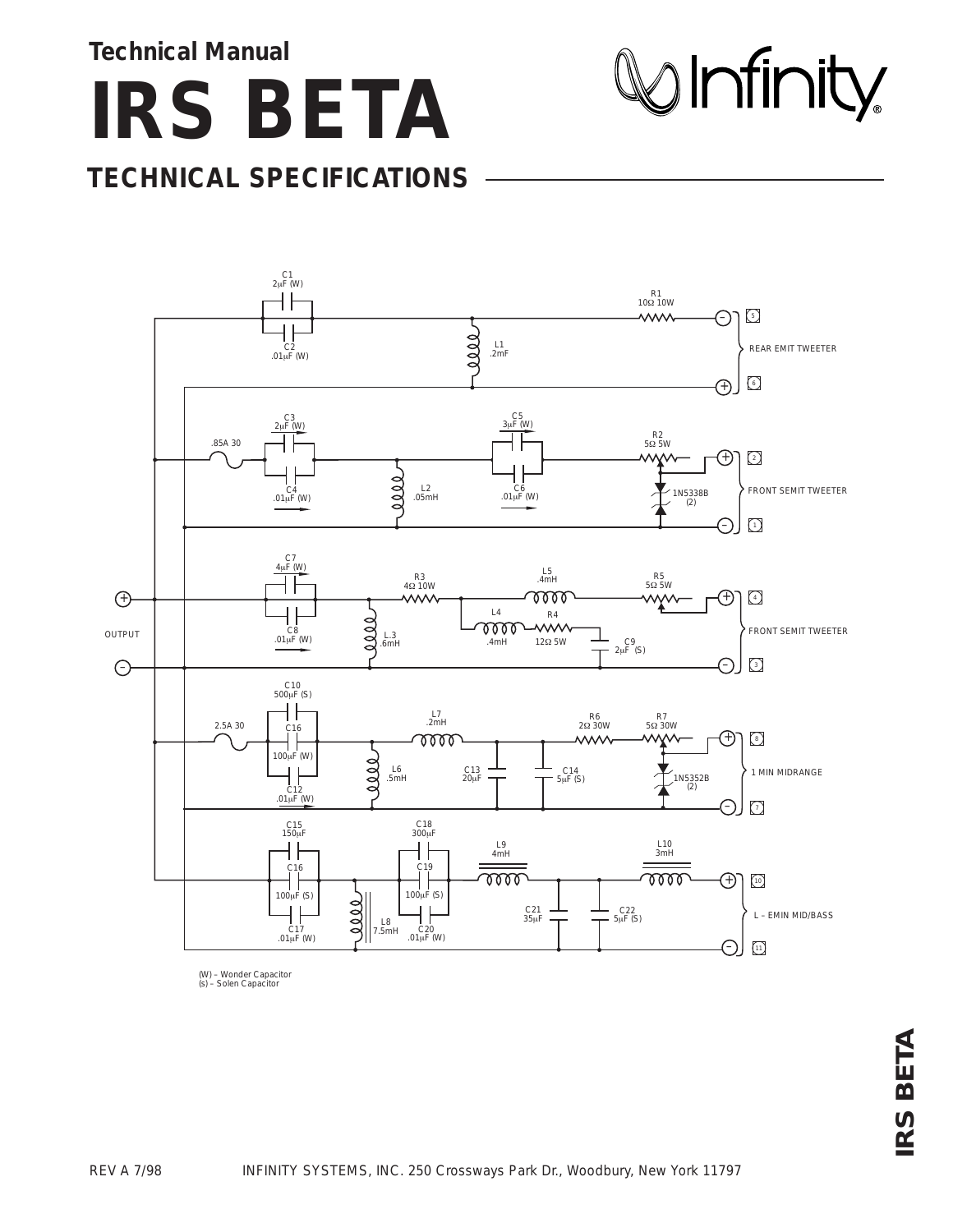**Technical Manual**

**IRS BETA**

#### **TECHNICAL SPECIFICATIONS**



*(W) – Wonder Capacitor (s) – Solen Capacitor*

 $\otimes$  Infinity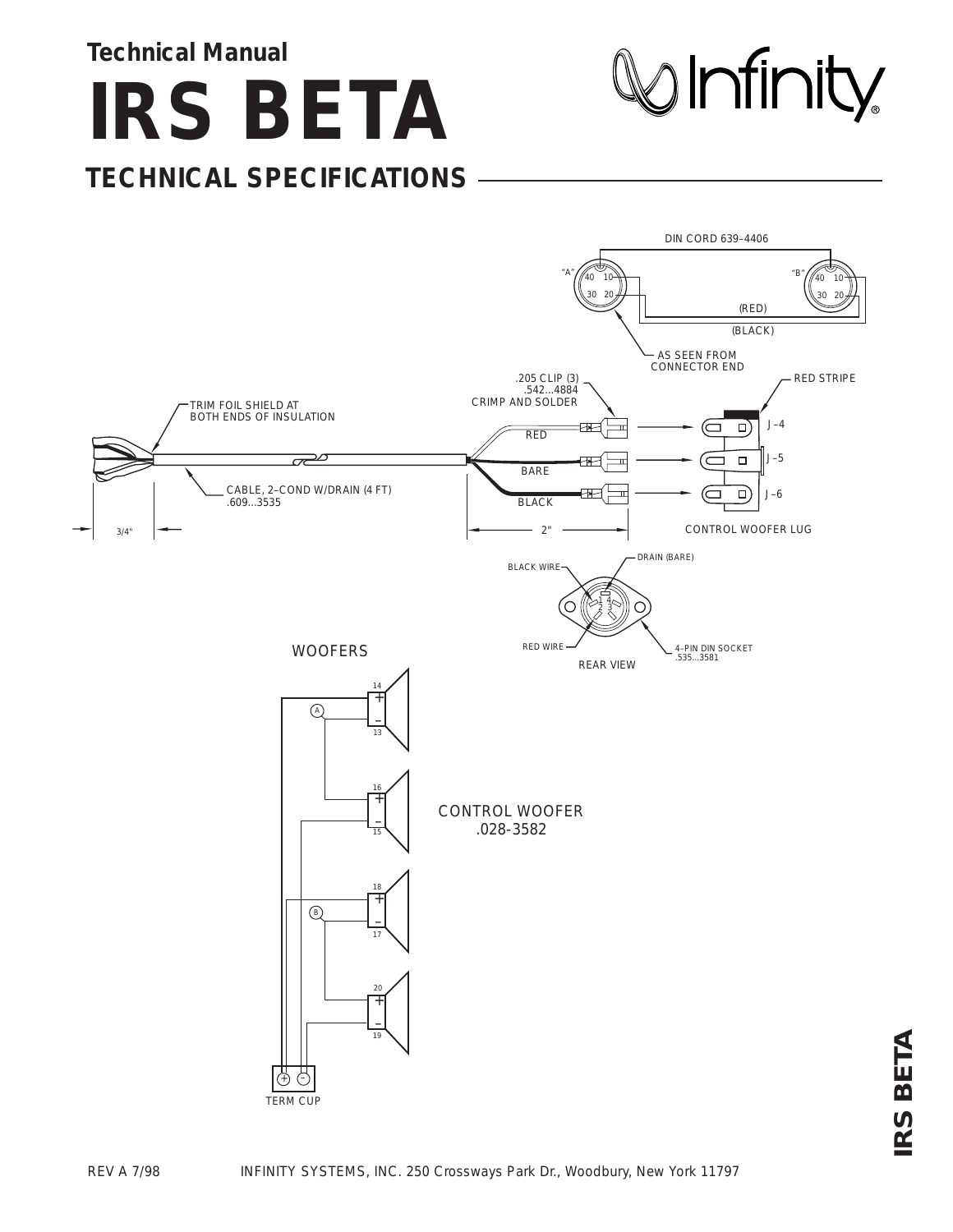**Technical Manual**

**IRS BETA**

**TECHNICAL SPECIFICATIONS**

 $\mathcal Q$  Infinity